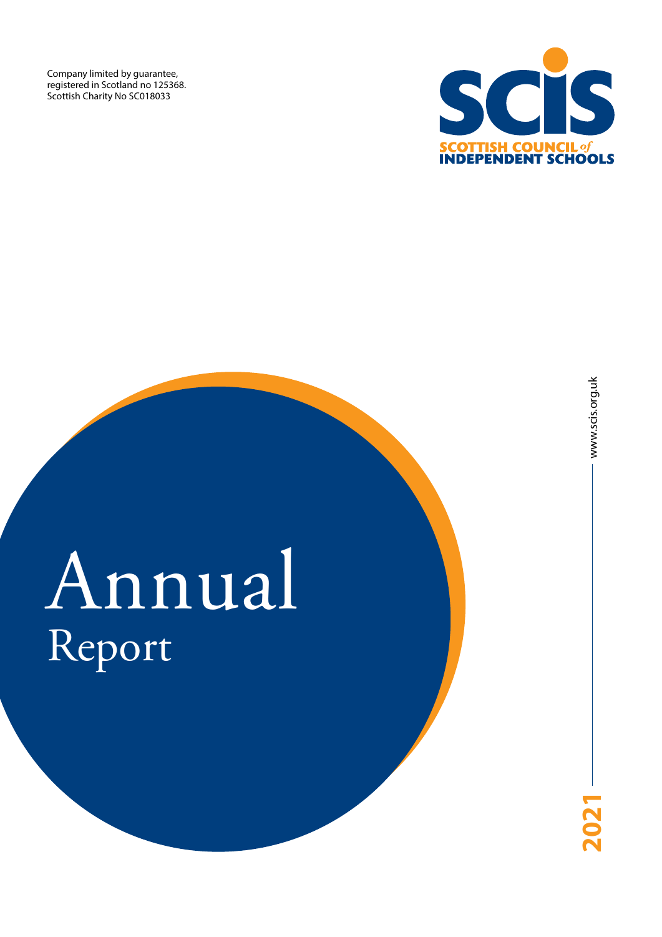Company limited by guarantee, registered in Scotland no 125368. Scottish Charity No SC018033



# Annual Report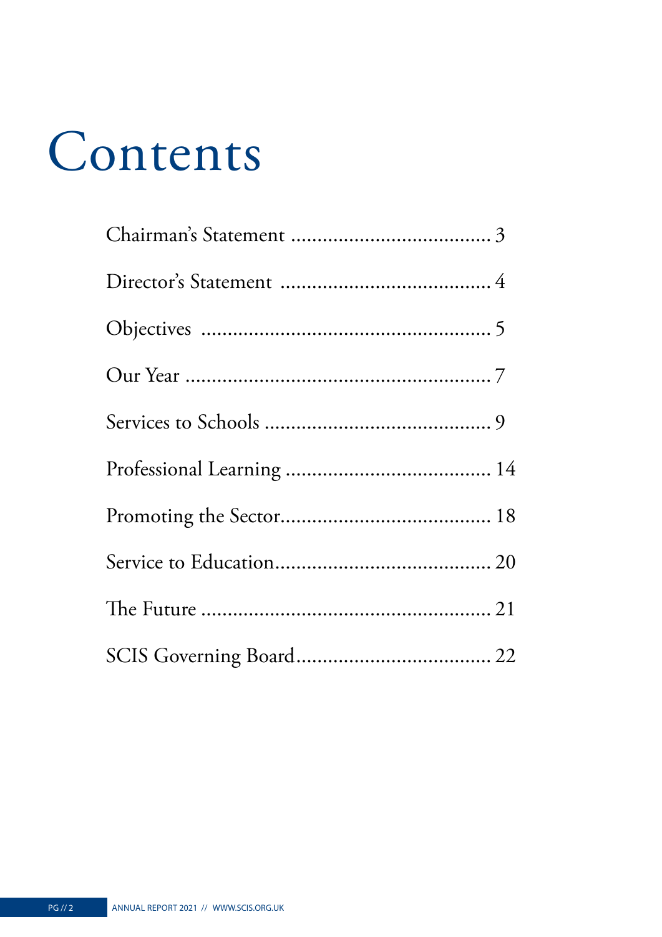# Contents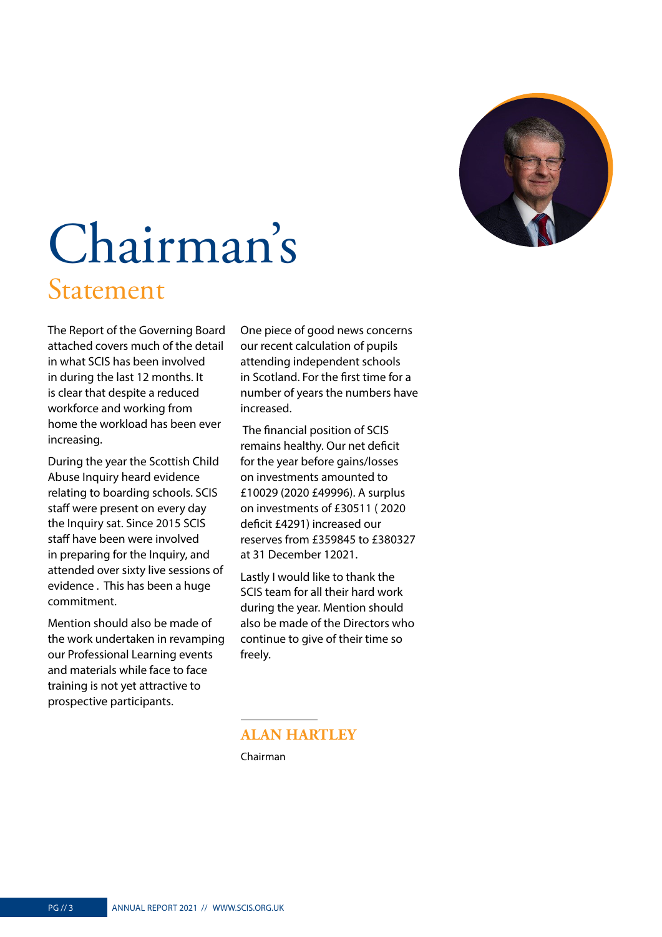

## <span id="page-2-0"></span>Chairman's Statement

The Report of the Governing Board attached covers much of the detail in what SCIS has been involved in during the last 12 months. It is clear that despite a reduced workforce and working from home the workload has been ever increasing.

During the year the Scottish Child Abuse Inquiry heard evidence relating to boarding schools. SCIS staff were present on every day the Inquiry sat. Since 2015 SCIS staff have been were involved in preparing for the Inquiry, and attended over sixty live sessions of evidence . This has been a huge commitment.

Mention should also be made of the work undertaken in revamping our Professional Learning events and materials while face to face training is not yet attractive to prospective participants.

One piece of good news concerns our recent calculation of pupils attending independent schools in Scotland. For the first time for a number of years the numbers have increased.

 The financial position of SCIS remains healthy. Our net deficit for the year before gains/losses on investments amounted to £10029 (2020 £49996). A surplus on investments of £30511 ( 2020 deficit £4291) increased our reserves from £359845 to £380327 at 31 December 12021.

Lastly I would like to thank the SCIS team for all their hard work during the year. Mention should also be made of the Directors who continue to give of their time so freely.

#### **ALAN HARTLEY** Chairman

PG // 3 ANNUAL REPORT 2021 // [WWW.SCIS.ORG.UK](http://WWW.SCIS.ORG.UK)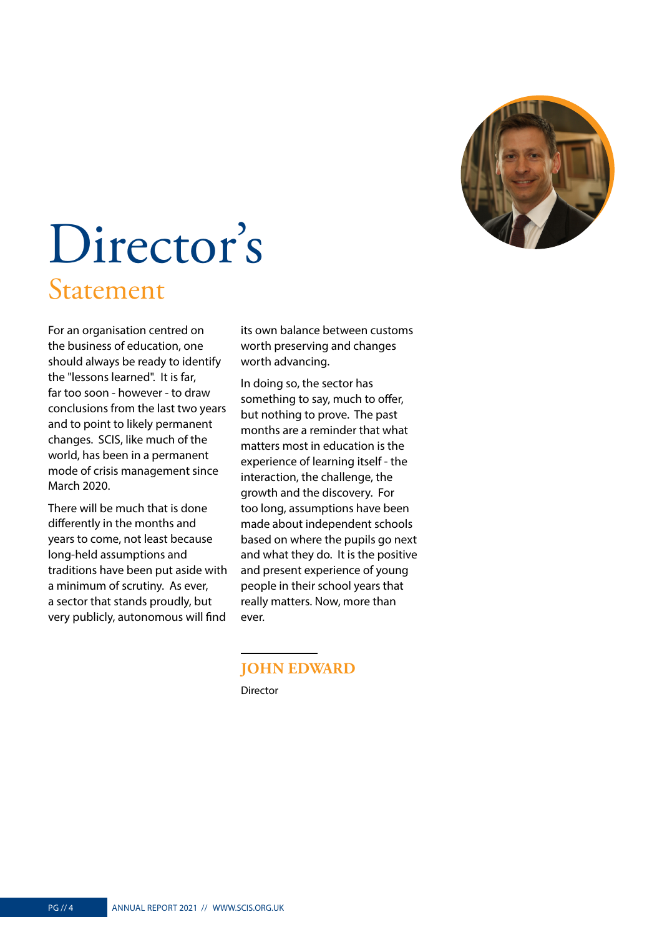

### <span id="page-3-0"></span>Director's Statement

For an organisation centred on the business of education, one should always be ready to identify the "lessons learned". It is far, far too soon - however - to draw conclusions from the last two years and to point to likely permanent changes. SCIS, like much of the world, has been in a permanent mode of crisis management since March 2020.

There will be much that is done differently in the months and years to come, not least because long-held assumptions and traditions have been put aside with a minimum of scrutiny. As ever, a sector that stands proudly, but very publicly, autonomous will find

its own balance between customs worth preserving and changes worth advancing.

In doing so, the sector has something to say, much to offer, but nothing to prove. The past months are a reminder that what matters most in education is the experience of learning itself - the interaction, the challenge, the growth and the discovery. For too long, assumptions have been made about independent schools based on where the pupils go next and what they do. It is the positive and present experience of young people in their school years that really matters. Now, more than ever.

#### **JOHN EDWARD** Director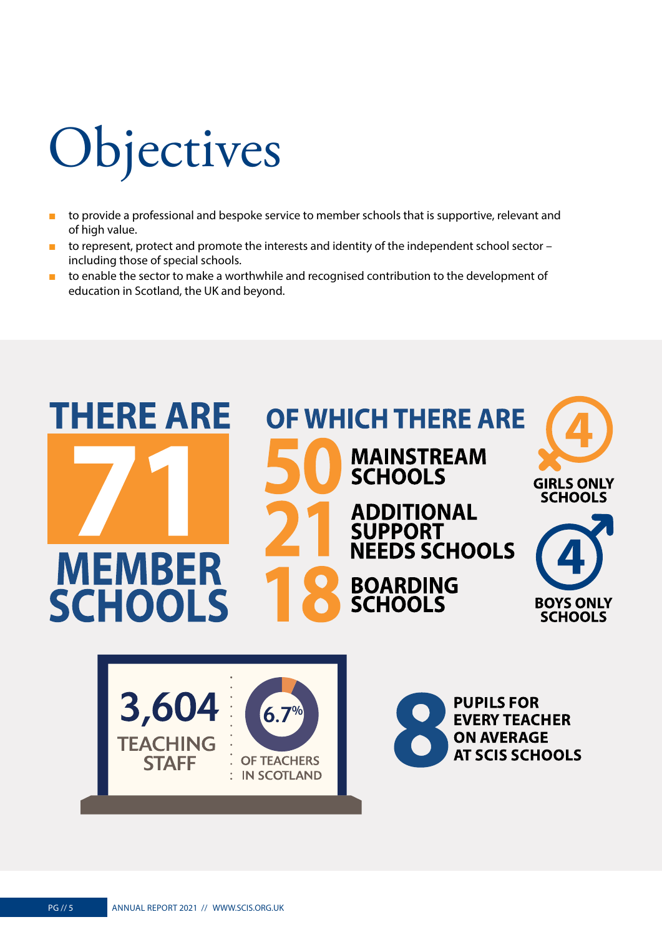# <span id="page-4-0"></span>**Objectives**

- to provide a professional and bespoke service to member schools that is supportive, relevant and of high value.
- to represent, protect and promote the interests and identity of the independent school sector including those of special schools.
- to enable the sector to make a worthwhile and recognised contribution to the development of education in Scotland, the UK and beyond.

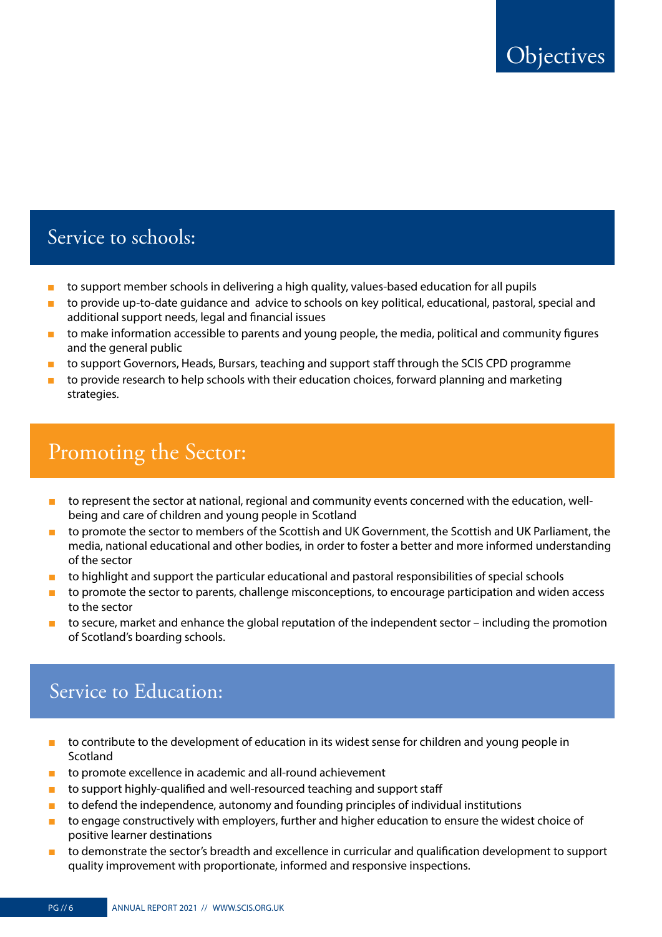### Service to schools:

- to support member schools in delivering a high quality, values-based education for all pupils
- to provide up-to-date guidance and advice to schools on key political, educational, pastoral, special and additional support needs, legal and financial issues
- to make information accessible to parents and young people, the media, political and community figures and the general public
- to support Governors, Heads, Bursars, teaching and support staff through the SCIS CPD programme
- to provide research to help schools with their education choices, forward planning and marketing strategies.

### Promoting the Sector:

- to represent the sector at national, regional and community events concerned with the education, wellbeing and care of children and young people in Scotland
- to promote the sector to members of the Scottish and UK Government, the Scottish and UK Parliament, the media, national educational and other bodies, in order to foster a better and more informed understanding of the sector
- to highlight and support the particular educational and pastoral responsibilities of special schools
- to promote the sector to parents, challenge misconceptions, to encourage participation and widen access to the sector
- to secure, market and enhance the global reputation of the independent sector including the promotion of Scotland's boarding schools.

### Service to Education:

- to contribute to the development of education in its widest sense for children and young people in Scotland
- to promote excellence in academic and all-round achievement
- to support highly-qualified and well-resourced teaching and support staff
- to defend the independence, autonomy and founding principles of individual institutions
- to engage constructively with employers, further and higher education to ensure the widest choice of positive learner destinations
- to demonstrate the sector's breadth and excellence in curricular and qualification development to support quality improvement with proportionate, informed and responsive inspections.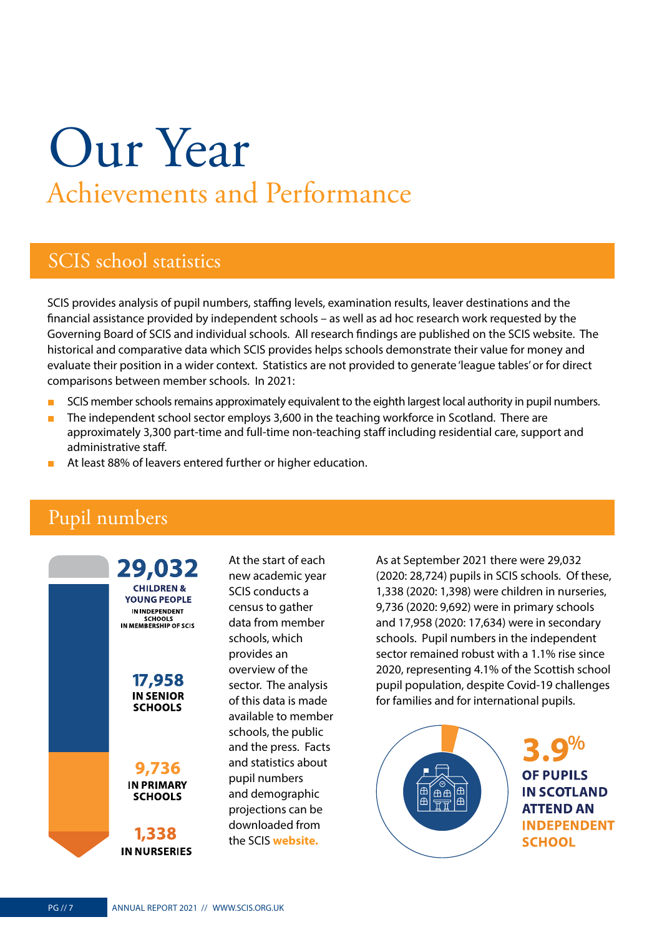## <span id="page-6-0"></span>Our Year Achievements and Performance

### SCIS school statistics

SCIS provides analysis of pupil numbers, staffing levels, examination results, leaver destinations and the financial assistance provided by independent schools – as well as ad hoc research work requested by the Governing Board of SCIS and individual schools. All research findings are published on the SCIS website. The historical and comparative data which SCIS provides helps schools demonstrate their value for money and evaluate their position in a wider context. Statistics are not provided to generate 'league tables' or for direct comparisons between member schools. In 2021:

- SCIS member schools remains approximately equivalent to the eighth largest local authority in pupil numbers.
- The independent school sector employs 3,600 in the teaching workforce in Scotland. There are approximately 3,300 part-time and full-time non-teaching staff including residential care, support and administrative staff.
- At least 88% of leavers entered further or higher education.

### Pupil numbers



At the start of each new academic year SCIS conducts a census to gather data from member schools, which provides an overview of the sector. The analysis of this data is made available to member schools, the public and the press. Facts and statistics about pupil numbers and demographic projections can be downloaded from the SCIS **[website.](http://www.scis.org.uk)** 

As at September 2021 there were 29,032 (2020: 28,724) pupils in SCIS schools. Of these, 1,338 (2020: 1,398) were children in nurseries, 9,736 (2020: 9,692) were in primary schools and 17,958 (2020: 17,634) were in secondary schools. Pupil numbers in the independent sector remained robust with a 1.1% rise since 2020, representing 4.1% of the Scottish school pupil population, despite Covid-19 challenges for families and for international pupils.

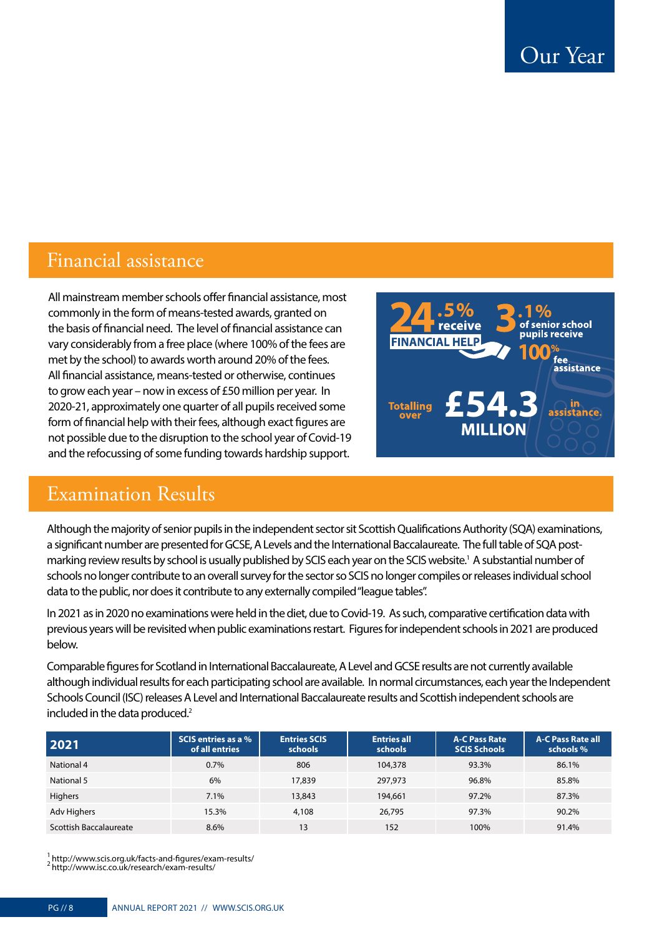### Financial assistance

All mainstream member schools offer financial assistance, most commonly in the form of means-tested awards, granted on the basis of financial need. The level of financial assistance can vary considerably from a free place (where 100% of the fees are met by the school) to awards worth around 20% of the fees. All financial assistance, means-tested or otherwise, continues to grow each year – now in excess of £50 million per year. In 2020-21, approximately one quarter of all pupils received some form of financial help with their fees, although exact figures are not possible due to the disruption to the school year of Covid-19 and the refocussing of some funding towards hardship support.



### Examination Results

Although the majority of senior pupils in the independent sector sit Scottish Qualifications Authority (SQA) examinations, a significant number are presented for GCSE, A Levels and the International Baccalaureate. The full table of SQA postmarking review results by school is usually published by SCIS each year on the SCIS website.1 A substantial number of schools no longer contribute to an overall survey for the sector so SCIS no longer compiles or releases individual school data to the public, nor does it contribute to any externally compiled "league tables".

In 2021 as in 2020 no examinations were held in the diet, due to Covid-19. As such, comparative certification data with previous years will be revisited when public examinations restart. Figures for independent schools in 2021 are produced below.

Comparable figures for Scotland in International Baccalaureate, A Level and GCSE results are not currently available although individual results for each participating school are available. In normal circumstances, each year the Independent Schools Council (ISC) releases A Level and International Baccalaureate results and Scottish independent schools are included in the data produced.<sup>2</sup>

| 2021                   | SCIS entries as a %<br>of all entries | <b>Entries SCIS</b><br>schools | <b>Entries all</b><br>schools | <b>A-C Pass Rate</b><br><b>SCIS Schools</b> | <b>A-C Pass Rate all</b><br>schools % |
|------------------------|---------------------------------------|--------------------------------|-------------------------------|---------------------------------------------|---------------------------------------|
| National 4             | $0.7\%$                               | 806                            | 104,378                       | 93.3%                                       | 86.1%                                 |
| National 5             | 6%                                    | 17,839                         | 297.973                       | 96.8%                                       | 85.8%                                 |
| <b>Highers</b>         | 7.1%                                  | 13,843                         | 194,661                       | 97.2%                                       | 87.3%                                 |
| Adv Highers            | 15.3%                                 | 4,108                          | 26,795                        | 97.3%                                       | 90.2%                                 |
| Scottish Baccalaureate | 8.6%                                  | 13                             | 152                           | 100%                                        | 91.4%                                 |

 $^1$ http://www.scis.org.uk/facts-and-figures/exam-results/ $^2$ <http://www.isc.co.uk/research/exam-results/>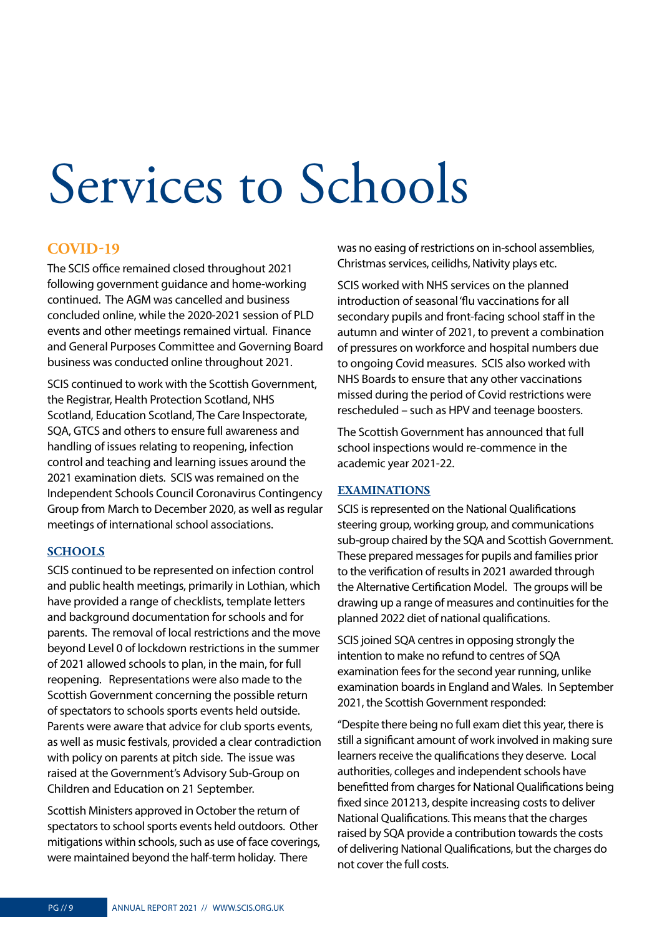# <span id="page-8-0"></span>Services to Schools

#### **COVID-19**

The SCIS office remained closed throughout 2021 following government guidance and home-working continued. The AGM was cancelled and business concluded online, while the 2020-2021 session of PLD events and other meetings remained virtual. Finance and General Purposes Committee and Governing Board business was conducted online throughout 2021.

SCIS continued to work with the Scottish Government, the Registrar, Health Protection Scotland, NHS Scotland, Education Scotland, The Care Inspectorate, SQA, GTCS and others to ensure full awareness and handling of issues relating to reopening, infection control and teaching and learning issues around the 2021 examination diets. SCIS was remained on the Independent Schools Council Coronavirus Contingency Group from March to December 2020, as well as regular meetings of international school associations.

#### **SCHOOLS**

SCIS continued to be represented on infection control and public health meetings, primarily in Lothian, which have provided a range of checklists, template letters and background documentation for schools and for parents. The removal of local restrictions and the move beyond Level 0 of lockdown restrictions in the summer of 2021 allowed schools to plan, in the main, for full reopening. Representations were also made to the Scottish Government concerning the possible return of spectators to schools sports events held outside. Parents were aware that advice for club sports events, as well as music festivals, provided a clear contradiction with policy on parents at pitch side. The issue was raised at the Government's Advisory Sub-Group on Children and Education on 21 September.

Scottish Ministers approved in October the return of spectators to school sports events held outdoors. Other mitigations within schools, such as use of face coverings, were maintained beyond the half-term holiday. There

was no easing of restrictions on in-school assemblies, Christmas services, ceilidhs, Nativity plays etc.

SCIS worked with NHS services on the planned introduction of seasonal 'flu vaccinations for all secondary pupils and front-facing school staff in the autumn and winter of 2021, to prevent a combination of pressures on workforce and hospital numbers due to ongoing Covid measures. SCIS also worked with NHS Boards to ensure that any other vaccinations missed during the period of Covid restrictions were rescheduled – such as HPV and teenage boosters.

The Scottish Government has announced that full school inspections would re-commence in the academic year 2021-22.

#### **EXAMINATIONS**

SCIS is represented on the National Qualifications steering group, working group, and communications sub-group chaired by the SQA and Scottish Government. These prepared messages for pupils and families prior to the verification of results in 2021 awarded through the Alternative Certification Model. The groups will be drawing up a range of measures and continuities for the planned 2022 diet of national qualifications.

SCIS joined SQA centres in opposing strongly the intention to make no refund to centres of SQA examination fees for the second year running, unlike examination boards in England and Wales. In September 2021, the Scottish Government responded:

"Despite there being no full exam diet this year, there is still a significant amount of work involved in making sure learners receive the qualifications they deserve. Local authorities, colleges and independent schools have benefitted from charges for National Qualifications being fixed since 201213, despite increasing costs to deliver National Qualifications. This means that the charges raised by SQA provide a contribution towards the costs of delivering National Qualifications, but the charges do not cover the full costs.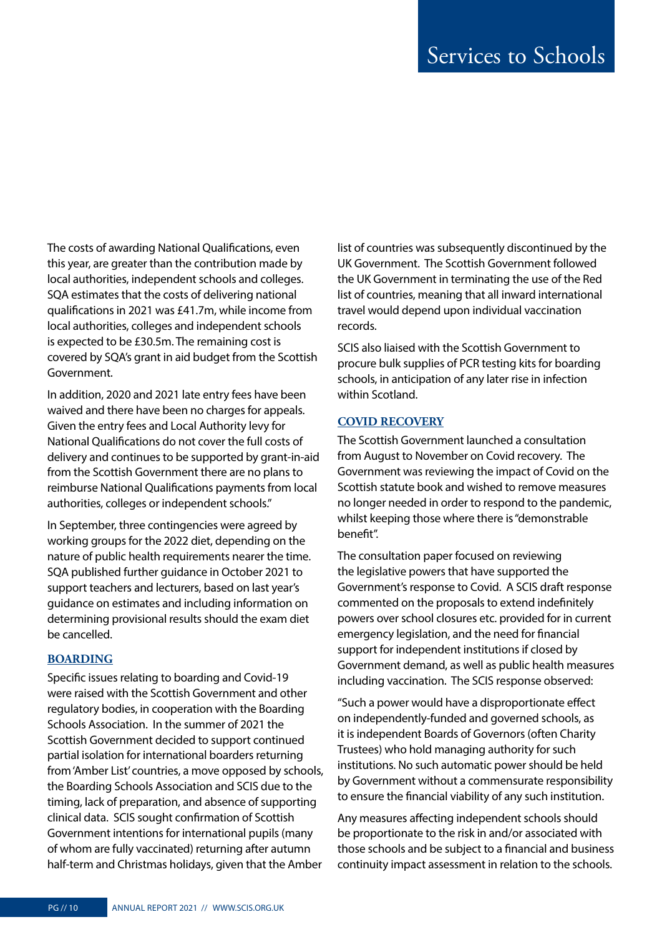The costs of awarding National Qualifications, even this year, are greater than the contribution made by local authorities, independent schools and colleges. SQA estimates that the costs of delivering national qualifications in 2021 was £41.7m, while income from local authorities, colleges and independent schools is expected to be £30.5m. The remaining cost is covered by SQA's grant in aid budget from the Scottish Government.

In addition, 2020 and 2021 late entry fees have been waived and there have been no charges for appeals. Given the entry fees and Local Authority levy for National Qualifications do not cover the full costs of delivery and continues to be supported by grant-in-aid from the Scottish Government there are no plans to reimburse National Qualifications payments from local authorities, colleges or independent schools."

In September, three contingencies were agreed by working groups for the 2022 diet, depending on the nature of public health requirements nearer the time. SQA published further guidance in October 2021 to support teachers and lecturers, based on last year's guidance on estimates and including information on determining provisional results should the exam diet be cancelled.

#### **BOARDING**

Specific issues relating to boarding and Covid-19 were raised with the Scottish Government and other regulatory bodies, in cooperation with the Boarding Schools Association. In the summer of 2021 the Scottish Government decided to support continued partial isolation for international boarders returning from 'Amber List' countries, a move opposed by schools, the Boarding Schools Association and SCIS due to the timing, lack of preparation, and absence of supporting clinical data. SCIS sought confirmation of Scottish Government intentions for international pupils (many of whom are fully vaccinated) returning after autumn half-term and Christmas holidays, given that the Amber

list of countries was subsequently discontinued by the UK Government. The Scottish Government followed the UK Government in terminating the use of the Red list of countries, meaning that all inward international travel would depend upon individual vaccination records.

SCIS also liaised with the Scottish Government to procure bulk supplies of PCR testing kits for boarding schools, in anticipation of any later rise in infection within Scotland.

#### **COVID RECOVERY**

The Scottish Government launched a consultation from August to November on Covid recovery. The Government was reviewing the impact of Covid on the Scottish statute book and wished to remove measures no longer needed in order to respond to the pandemic, whilst keeping those where there is "demonstrable benefit".

The consultation paper focused on reviewing the legislative powers that have supported the Government's response to Covid. A SCIS draft response commented on the proposals to extend indefinitely powers over school closures etc. provided for in current emergency legislation, and the need for financial support for independent institutions if closed by Government demand, as well as public health measures including vaccination. The SCIS response observed:

"Such a power would have a disproportionate effect on independently-funded and governed schools, as it is independent Boards of Governors (often Charity Trustees) who hold managing authority for such institutions. No such automatic power should be held by Government without a commensurate responsibility to ensure the financial viability of any such institution.

Any measures affecting independent schools should be proportionate to the risk in and/or associated with those schools and be subject to a financial and business continuity impact assessment in relation to the schools.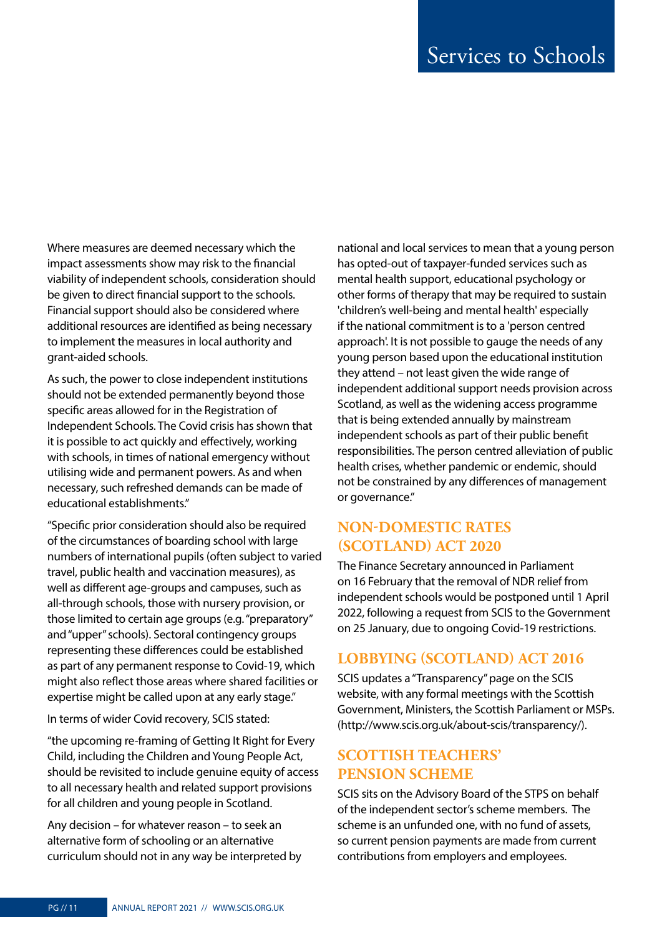Where measures are deemed necessary which the impact assessments show may risk to the financial viability of independent schools, consideration should be given to direct financial support to the schools. Financial support should also be considered where additional resources are identified as being necessary to implement the measures in local authority and grant-aided schools.

As such, the power to close independent institutions should not be extended permanently beyond those specific areas allowed for in the Registration of Independent Schools. The Covid crisis has shown that it is possible to act quickly and effectively, working with schools, in times of national emergency without utilising wide and permanent powers. As and when necessary, such refreshed demands can be made of educational establishments."

"Specific prior consideration should also be required of the circumstances of boarding school with large numbers of international pupils (often subject to varied travel, public health and vaccination measures), as well as different age-groups and campuses, such as all-through schools, those with nursery provision, or those limited to certain age groups (e.g. "preparatory" and "upper" schools). Sectoral contingency groups representing these differences could be established as part of any permanent response to Covid-19, which might also reflect those areas where shared facilities or expertise might be called upon at any early stage."

In terms of wider Covid recovery, SCIS stated:

"the upcoming re-framing of Getting It Right for Every Child, including the Children and Young People Act, should be revisited to include genuine equity of access to all necessary health and related support provisions for all children and young people in Scotland.

Any decision – for whatever reason – to seek an alternative form of schooling or an alternative curriculum should not in any way be interpreted by national and local services to mean that a young person has opted-out of taxpayer-funded services such as mental health support, educational psychology or other forms of therapy that may be required to sustain 'children's well-being and mental health' especially if the national commitment is to a 'person centred approach'. It is not possible to gauge the needs of any young person based upon the educational institution they attend – not least given the wide range of independent additional support needs provision across Scotland, as well as the widening access programme that is being extended annually by mainstream independent schools as part of their public benefit responsibilities. The person centred alleviation of public health crises, whether pandemic or endemic, should not be constrained by any differences of management or governance."

#### **NON-DOMESTIC RATES (SCOTLAND) ACT 2020**

The Finance Secretary announced in Parliament on 16 February that the removal of NDR relief from independent schools would be postponed until 1 April 2022, following a request from SCIS to the Government on 25 January, due to ongoing Covid-19 restrictions.

#### **LOBBYING (SCOTLAND) ACT 2016**

SCIS updates a "Transparency" page on the SCIS website, with any formal meetings with the Scottish Government, Ministers, the Scottish Parliament or MSPs. (http://www.scis.org.uk/about-scis/transparency/).

#### **SCOTTISH TEACHERS' PENSION SCHEME**

SCIS sits on the Advisory Board of the STPS on behalf of the independent sector's scheme members. The scheme is an unfunded one, with no fund of assets, so current pension payments are made from current contributions from employers and employees.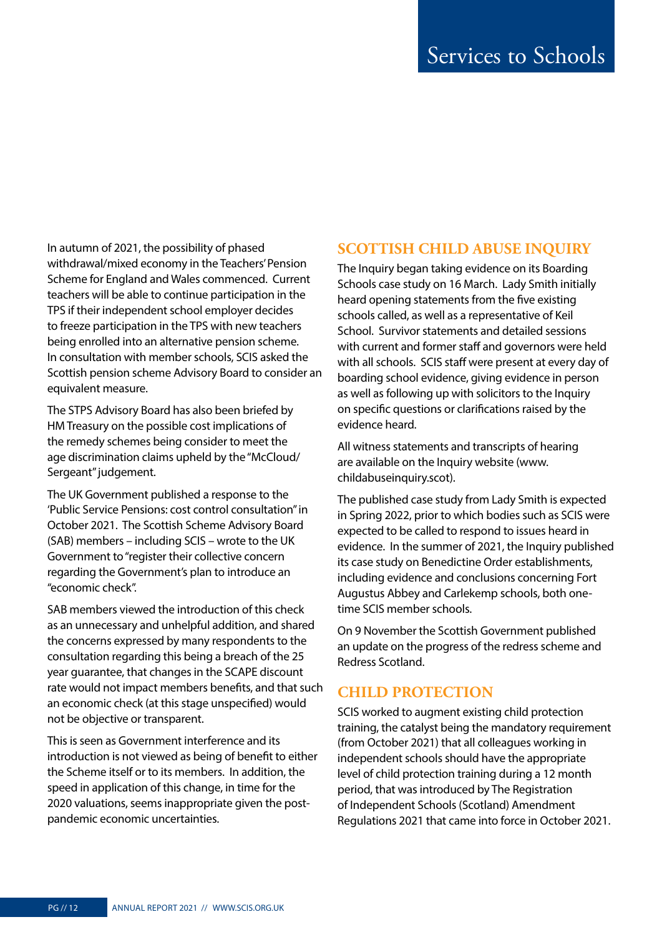In autumn of 2021, the possibility of phased withdrawal/mixed economy in the Teachers' Pension Scheme for England and Wales commenced. Current teachers will be able to continue participation in the TPS if their independent school employer decides to freeze participation in the TPS with new teachers being enrolled into an alternative pension scheme. In consultation with member schools, SCIS asked the Scottish pension scheme Advisory Board to consider an equivalent measure.

The STPS Advisory Board has also been briefed by HM Treasury on the possible cost implications of the remedy schemes being consider to meet the age discrimination claims upheld by the "McCloud/ Sergeant" judgement.

The UK Government published a response to the 'Public Service Pensions: cost control consultation" in October 2021. The Scottish Scheme Advisory Board (SAB) members – including SCIS – wrote to the UK Government to "register their collective concern regarding the Government's plan to introduce an "economic check".

SAB members viewed the introduction of this check as an unnecessary and unhelpful addition, and shared the concerns expressed by many respondents to the consultation regarding this being a breach of the 25 year guarantee, that changes in the SCAPE discount rate would not impact members benefits, and that such an economic check (at this stage unspecified) would not be objective or transparent.

This is seen as Government interference and its introduction is not viewed as being of benefit to either the Scheme itself or to its members. In addition, the speed in application of this change, in time for the 2020 valuations, seems inappropriate given the postpandemic economic uncertainties.

#### **SCOTTISH CHILD ABUSE INQUIRY**

The Inquiry began taking evidence on its Boarding Schools case study on 16 March. Lady Smith initially heard opening statements from the five existing schools called, as well as a representative of Keil School. Survivor statements and detailed sessions with current and former staff and governors were held with all schools. SCIS staff were present at every day of boarding school evidence, giving evidence in person as well as following up with solicitors to the Inquiry on specific questions or clarifications raised by the evidence heard.

All witness statements and transcripts of hearing are available on the Inquiry website (www. childabuseinquiry.scot).

The published case study from Lady Smith is expected in Spring 2022, prior to which bodies such as SCIS were expected to be called to respond to issues heard in evidence. In the summer of 2021, the Inquiry published its case study on Benedictine Order establishments, including evidence and conclusions concerning Fort Augustus Abbey and Carlekemp schools, both onetime SCIS member schools.

On 9 November the Scottish Government published an update on the progress of the redress scheme and Redress Scotland.

#### **CHILD PROTECTION**

SCIS worked to augment existing child protection training, the catalyst being the mandatory requirement (from October 2021) that all colleagues working in independent schools should have the appropriate level of child protection training during a 12 month period, that was introduced by The Registration of Independent Schools (Scotland) Amendment Regulations 2021 that came into force in October 2021.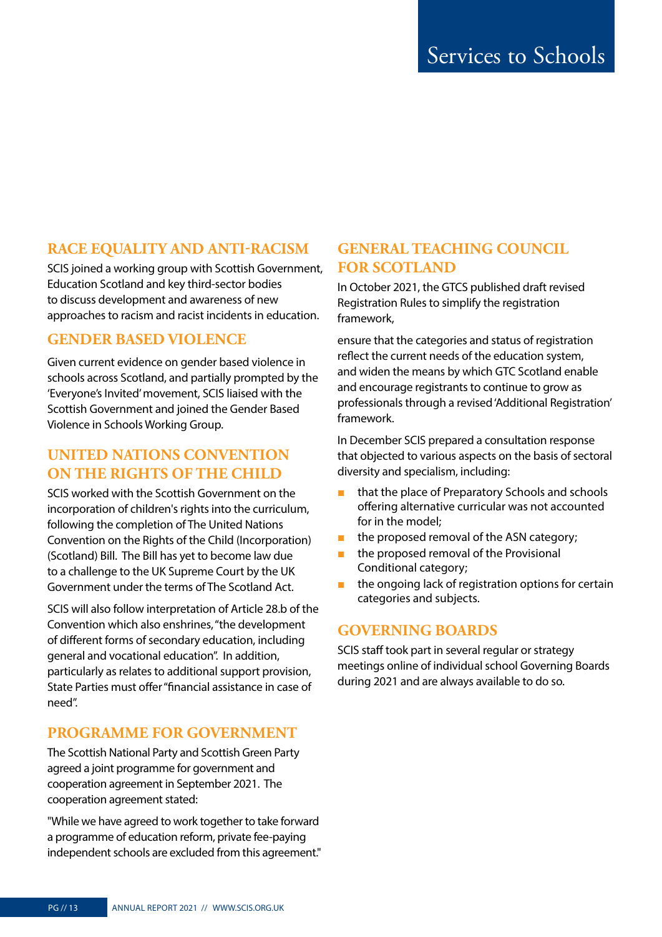#### **RACE EQUALITY AND ANTI-RACISM**

SCIS joined a working group with Scottish Government, Education Scotland and key third-sector bodies to discuss development and awareness of new approaches to racism and racist incidents in education.

#### **GENDER BASED VIOLENCE**

Given current evidence on gender based violence in schools across Scotland, and partially prompted by the 'Everyone's Invited' movement, SCIS liaised with the Scottish Government and joined the Gender Based Violence in Schools Working Group.

#### **UNITED NATIONS CONVENTION ON THE RIGHTS OF THE CHILD**

SCIS worked with the Scottish Government on the incorporation of children's rights into the curriculum, following the completion of The United Nations Convention on the Rights of the Child (Incorporation) (Scotland) Bill. The Bill has yet to become law due to a challenge to the UK Supreme Court by the UK Government under the terms of The Scotland Act.

SCIS will also follow interpretation of Article 28.b of the Convention which also enshrines, "the development of different forms of secondary education, including general and vocational education". In addition, particularly as relates to additional support provision, State Parties must offer "financial assistance in case of need".

#### **PROGRAMME FOR GOVERNMENT**

The Scottish National Party and Scottish Green Party agreed a joint programme for government and cooperation agreement in September 2021. The cooperation agreement stated:

"While we have agreed to work together to take forward a programme of education reform, private fee-paying independent schools are excluded from this agreement."

#### **GENERAL TEACHING COUNCIL FOR SCOTLAND**

In October 2021, the GTCS published draft revised Registration Rules to simplify the registration framework,

ensure that the categories and status of registration reflect the current needs of the education system, and widen the means by which GTC Scotland enable and encourage registrants to continue to grow as professionals through a revised 'Additional Registration' framework.

In December SCIS prepared a consultation response that objected to various aspects on the basis of sectoral diversity and specialism, including:

- that the place of Preparatory Schools and schools offering alternative curricular was not accounted for in the model;
- the proposed removal of the ASN category;
- the proposed removal of the Provisional Conditional category;
- the ongoing lack of registration options for certain categories and subjects.

#### **GOVERNING BOARDS**

SCIS staff took part in several regular or strategy meetings online of individual school Governing Boards during 2021 and are always available to do so.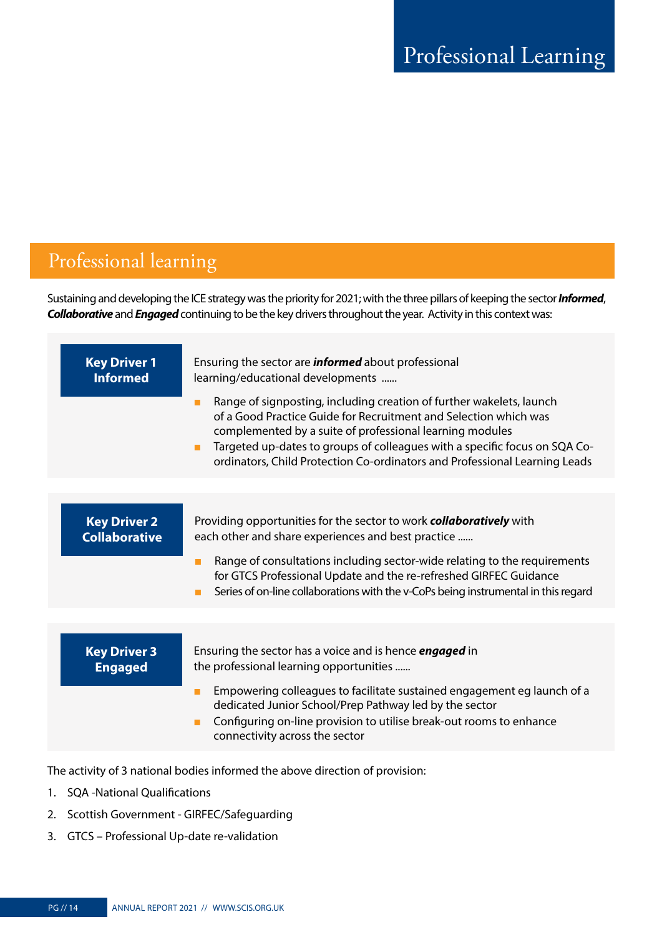### <span id="page-13-0"></span>Professional learning

Sustaining and developing the ICE strategy was the priority for 2021; with the three pillars of keeping the sector *Informed*, *Collaborative* and *Engaged* continuing to be the key drivers throughout the year. Activity in this context was:

| <b>Key Driver 1</b><br><b>Informed</b>      | Ensuring the sector are <i>informed</i> about professional<br>learning/educational developments<br>Range of signposting, including creation of further wakelets, launch<br>п<br>of a Good Practice Guide for Recruitment and Selection which was<br>complemented by a suite of professional learning modules<br>Targeted up-dates to groups of colleagues with a specific focus on SQA Co-<br>п<br>ordinators, Child Protection Co-ordinators and Professional Learning Leads |
|---------------------------------------------|-------------------------------------------------------------------------------------------------------------------------------------------------------------------------------------------------------------------------------------------------------------------------------------------------------------------------------------------------------------------------------------------------------------------------------------------------------------------------------|
|                                             |                                                                                                                                                                                                                                                                                                                                                                                                                                                                               |
| <b>Key Driver 2</b><br><b>Collaborative</b> | Providing opportunities for the sector to work <b>collaboratively</b> with<br>each other and share experiences and best practice<br>Range of consultations including sector-wide relating to the requirements<br>for GTCS Professional Update and the re-refreshed GIRFEC Guidance<br>Series of on-line collaborations with the v-CoPs being instrumental in this regard                                                                                                      |
|                                             |                                                                                                                                                                                                                                                                                                                                                                                                                                                                               |
| <b>Key Driver 3</b><br><b>Engaged</b>       | Ensuring the sector has a voice and is hence <i>engaged</i> in<br>the professional learning opportunities<br>Empowering colleagues to facilitate sustained engagement eg launch of a<br>dedicated Junior School/Prep Pathway led by the sector<br>Configuring on-line provision to utilise break-out rooms to enhance<br>п                                                                                                                                                    |
|                                             | connectivity across the sector                                                                                                                                                                                                                                                                                                                                                                                                                                                |

The activity of 3 national bodies informed the above direction of provision:

- 1. SQA -National Qualifications
- 2. Scottish Government GIRFEC/Safeguarding
- 3. GTCS Professional Up-date re-validation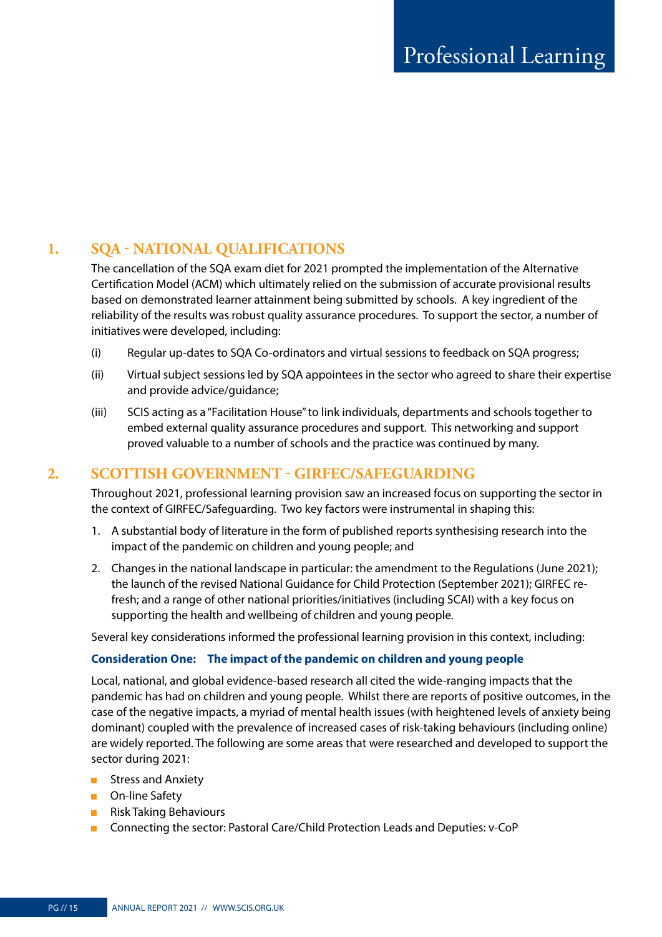#### **1. SQA - NATIONAL QUALIFICATIONS**

The cancellation of the SQA exam diet for 2021 prompted the implementation of the Alternative Certification Model (ACM) which ultimately relied on the submission of accurate provisional results based on demonstrated learner attainment being submitted by schools. A key ingredient of the reliability of the results was robust quality assurance procedures. To support the sector, a number of initiatives were developed, including:

- (i) Regular up-dates to SQA Co-ordinators and virtual sessions to feedback on SQA progress;
- (ii) Virtual subject sessions led by SQA appointees in the sector who agreed to share their expertise and provide advice/guidance;
- (iii) SCIS acting as a "Facilitation House" to link individuals, departments and schools together to embed external quality assurance procedures and support. This networking and support proved valuable to a number of schools and the practice was continued by many.

#### **2. SCOTTISH GOVERNMENT - GIRFEC/SAFEGUARDING**

Throughout 2021, professional learning provision saw an increased focus on supporting the sector in the context of GIRFEC/Safeguarding. Two key factors were instrumental in shaping this:

- 1. A substantial body of literature in the form of published reports synthesising research into the impact of the pandemic on children and young people; and
- 2. Changes in the national landscape in particular: the amendment to the Regulations (June 2021); the launch of the revised National Guidance for Child Protection (September 2021); GIRFEC refresh; and a range of other national priorities/initiatives (including SCAI) with a key focus on supporting the health and wellbeing of children and young people.

Several key considerations informed the professional learning provision in this context, including:

#### **Consideration One: The impact of the pandemic on children and young people**

Local, national, and global evidence-based research all cited the wide-ranging impacts that the pandemic has had on children and young people. Whilst there are reports of positive outcomes, in the case of the negative impacts, a myriad of mental health issues (with heightened levels of anxiety being dominant) coupled with the prevalence of increased cases of risk-taking behaviours (including online) are widely reported. The following are some areas that were researched and developed to support the sector during 2021:

- Stress and Anxiety
- On-line Safety
- Risk Taking Behaviours
- Connecting the sector: Pastoral Care/Child Protection Leads and Deputies: v-CoP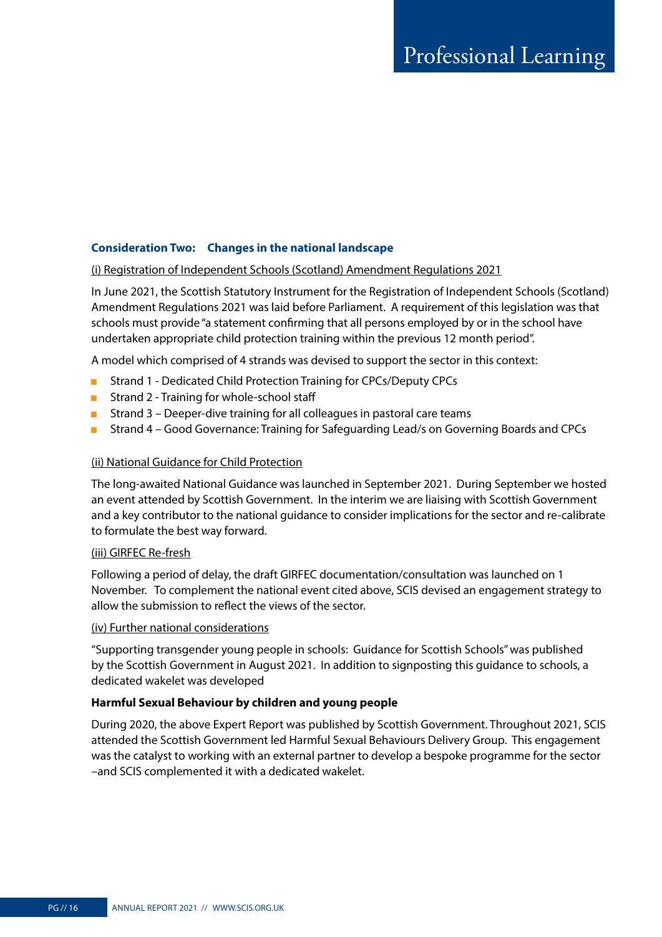#### **Consideration Two: Changes in the national landscape**

#### (i) Registration of Independent Schools (Scotland) Amendment Regulations 2021

In June 2021, the Scottish Statutory Instrument for the Registration of Independent Schools (Scotland) Amendment Regulations 2021 was laid before Parliament. A requirement of this legislation was that schools must provide "a statement confirming that all persons employed by or in the school have undertaken appropriate child protection training within the previous 12 month period".

A model which comprised of 4 strands was devised to support the sector in this context:

- Strand 1 Dedicated Child Protection Training for CPCs/Deputy CPCs
- Strand 2 Training for whole-school staff
- Strand 3 Deeper-dive training for all colleagues in pastoral care teams
- Strand 4 Good Governance: Training for Safeguarding Lead/s on Governing Boards and CPCs

#### (ii) National Guidance for Child Protection

The long-awaited National Guidance was launched in September 2021. During September we hosted an event attended by Scottish Government. In the interim we are liaising with Scottish Government and a key contributor to the national guidance to consider implications for the sector and re-calibrate to formulate the best way forward.

#### (iii) GIRFEC Re-fresh

Following a period of delay, the draft GIRFEC documentation/consultation was launched on 1 November. To complement the national event cited above, SCIS devised an engagement strategy to allow the submission to reflect the views of the sector.

#### (iv) Further national considerations

"Supporting transgender young people in schools: Guidance for Scottish Schools" was published by the Scottish Government in August 2021. In addition to signposting this guidance to schools, a dedicated wakelet was developed

#### **Harmful Sexual Behaviour by children and young people**

During 2020, the above Expert Report was published by Scottish Government. Throughout 2021, SCIS attended the Scottish Government led Harmful Sexual Behaviours Delivery Group. This engagement was the catalyst to working with an external partner to develop a bespoke programme for the sector –and SCIS complemented it with a dedicated wakelet.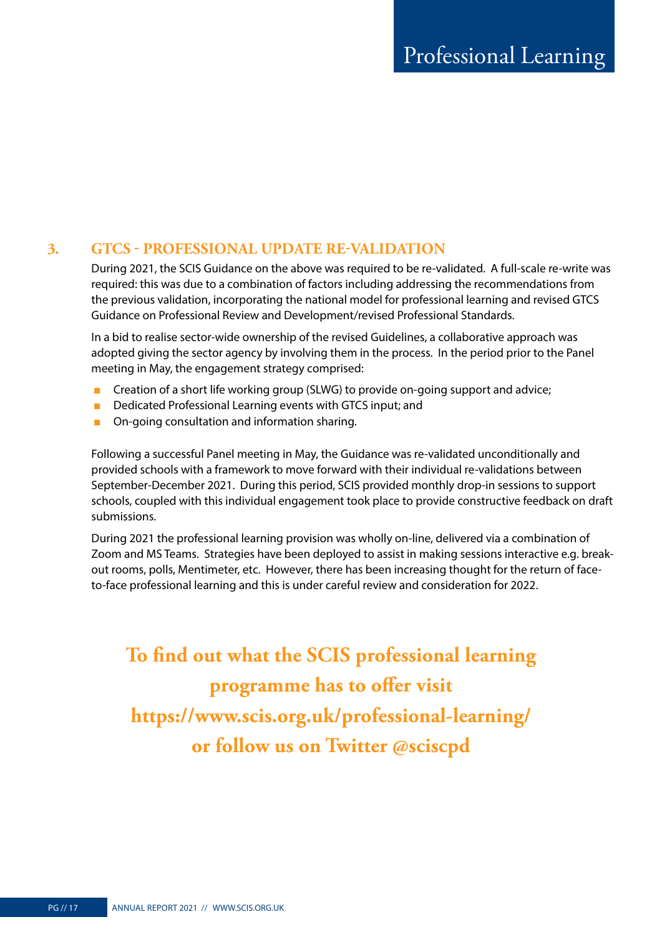#### **3. GTCS - PROFESSIONAL UPDATE RE-VALIDATION**

During 2021, the SCIS Guidance on the above was required to be re-validated. A full-scale re-write was required: this was due to a combination of factors including addressing the recommendations from the previous validation, incorporating the national model for professional learning and revised GTCS Guidance on Professional Review and Development/revised Professional Standards.

In a bid to realise sector-wide ownership of the revised Guidelines, a collaborative approach was adopted giving the sector agency by involving them in the process. In the period prior to the Panel meeting in May, the engagement strategy comprised:

- Creation of a short life working group (SLWG) to provide on-going support and advice;
- Dedicated Professional Learning events with GTCS input; and
- On-going consultation and information sharing.

Following a successful Panel meeting in May, the Guidance was re-validated unconditionally and provided schools with a framework to move forward with their individual re-validations between September-December 2021. During this period, SCIS provided monthly drop-in sessions to support schools, coupled with this individual engagement took place to provide constructive feedback on draft submissions.

During 2021 the professional learning provision was wholly on-line, delivered via a combination of Zoom and MS Teams. Strategies have been deployed to assist in making sessions interactive e.g. breakout rooms, polls, Mentimeter, etc. However, there has been increasing thought for the return of faceto-face professional learning and this is under careful review and consideration for 2022.

**To find out what the SCIS professional learning programme has to offer visit <https://www.scis.org.uk/professional-learning/> or follow us on Twitter [@sciscpd](https://twitter.com/sciscpd)**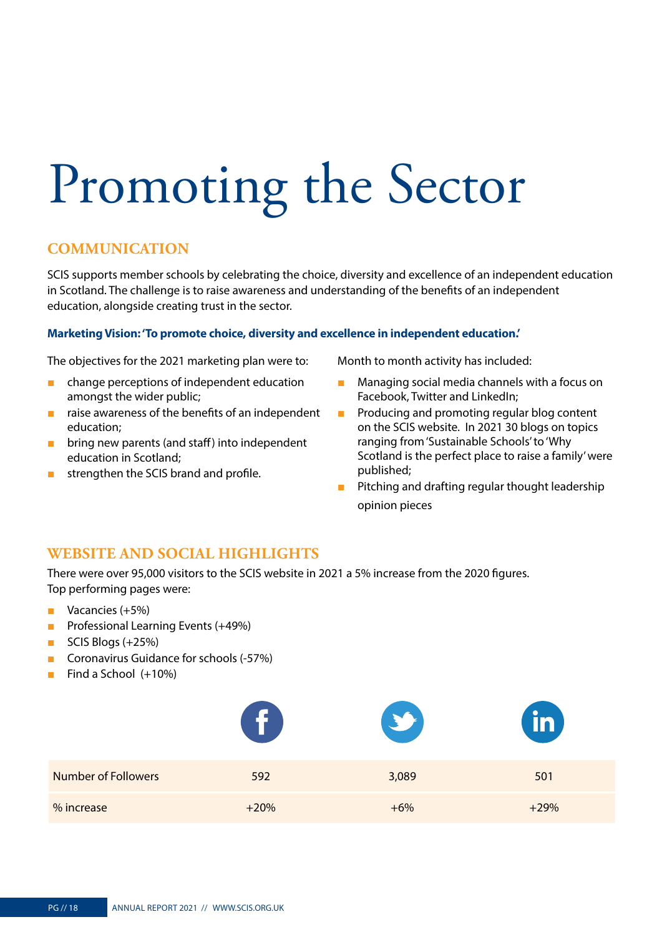# <span id="page-17-0"></span>Promoting the Sector

#### **COMMUNICATION**

SCIS supports member schools by celebrating the choice, diversity and excellence of an independent education in Scotland. The challenge is to raise awareness and understanding of the benefits of an independent education, alongside creating trust in the sector.

#### **Marketing Vision: 'To promote choice, diversity and excellence in independent education.'**

The objectives for the 2021 marketing plan were to:

- change perceptions of independent education amongst the wider public;
- raise awareness of the benefits of an independent education;
- bring new parents (and staff) into independent education in Scotland;
- strengthen the SCIS brand and profile.

Month to month activity has included:

- Managing social media channels with a focus on Facebook, Twitter and LinkedIn;
- Producing and promoting regular blog content on the SCIS website. In 2021 30 blogs on topics ranging from 'Sustainable Schools' to 'Why Scotland is the perfect place to raise a family' were published;
- Pitching and drafting regular thought leadership opinion pieces

#### **WEBSITE AND SOCIAL HIGHLIGHTS**

There were over 95,000 visitors to the SCIS website in 2021 a 5% increase from the 2020 figures. Top performing pages were:

- Vacancies (+5%)
- Professional Learning Events (+49%)
- SCIS Blogs (+25%)
- Coronavirus Guidance for schools (-57%)
- Find a School (+10%)

|                            | f      | $\rightarrow$ | $\overline{\mathbf{in}}$ |
|----------------------------|--------|---------------|--------------------------|
| <b>Number of Followers</b> | 592    | 3,089         | 501                      |
| % increase                 | $+20%$ | $+6%$         | $+29%$                   |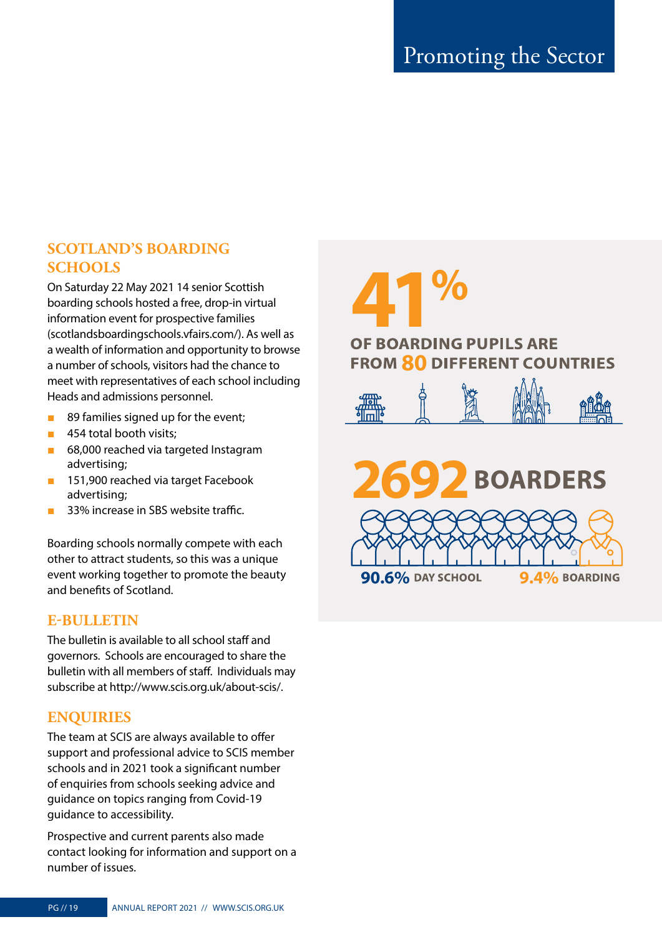#### **SCOTLAND'S BOARDING SCHOOLS**

On Saturday 22 May 2021 14 senior Scottish boarding schools hosted a free, drop-in virtual information event for prospective families ([scotlandsboardingschools.vfairs.com/](https://scotlandsboardingschools.vfairs.com/)). As well as a wealth of information and opportunity to browse a number of schools, visitors had the chance to meet with representatives of each school including Heads and admissions personnel.

- 89 families signed up for the event;
- 454 total booth visits:
- 68,000 reached via targeted Instagram advertising;
- 151,900 reached via target Facebook advertising;
- 33% increase in SBS website traffic.

Boarding schools normally compete with each other to attract students, so this was a unique event working together to promote the beauty and benefits of Scotland.

#### **E-BULLETIN**

The bulletin is available to all school staff and governors. Schools are encouraged to share the bulletin with all members of staff. Individuals may subscribe at <http://www.scis.org.uk/about-scis/>.

#### **ENQUIRIES**

The team at SCIS are always available to offer support and professional advice to SCIS member schools and in 2021 took a significant number of enquiries from schools seeking advice and guidance on topics ranging from Covid-19 guidance to accessibility.

Prospective and current parents also made contact looking for information and support on a number of issues.

# **41 FROM 80 DIFFERENT COUNTRIES**

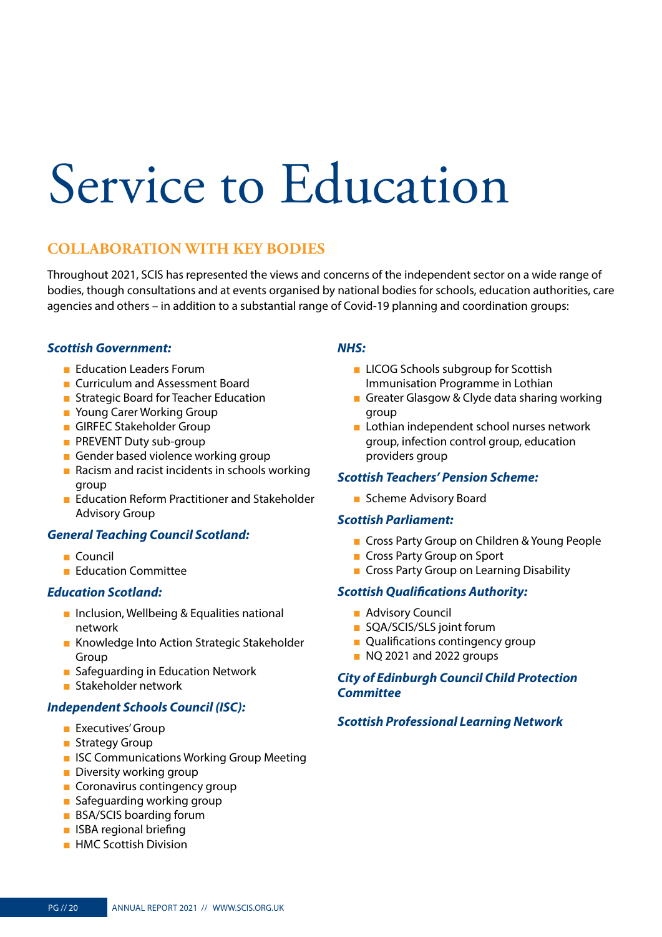# <span id="page-19-0"></span>Service to Education

#### **COLLABORATION WITH KEY BODIES**

Throughout 2021, SCIS has represented the views and concerns of the independent sector on a wide range of bodies, though consultations and at events organised by national bodies for schools, education authorities, care agencies and others – in addition to a substantial range of Covid-19 planning and coordination groups:

#### *Scottish Government:*

- Education Leaders Forum
- Curriculum and Assessment Board
- Strategic Board for Teacher Education
- Young Carer Working Group
- GIRFEC Stakeholder Group
- PREVENT Duty sub-group
- Gender based violence working group
- Racism and racist incidents in schools working group
- Education Reform Practitioner and Stakeholder Advisory Group

#### *General Teaching Council Scotland:*

- Council
- Education Committee

#### *Education Scotland:*

- Inclusion, Wellbeing & Equalities national network
- Knowledge Into Action Strategic Stakeholder Group
- Safeguarding in Education Network
- Stakeholder network

#### *Independent Schools Council (ISC):*

- Executives' Group
- Strategy Group
- ISC Communications Working Group Meeting
- Diversity working group
- Coronavirus contingency group
- Safeguarding working group
- BSA/SCIS boarding forum
- ISBA regional briefing
- HMC Scottish Division

#### *NHS:*

- LICOG Schools subgroup for Scottish Immunisation Programme in Lothian
- Greater Glasgow & Clyde data sharing working group
- Lothian independent school nurses network group, infection control group, education providers group

#### *Scottish Teachers' Pension Scheme:*

■ Scheme Advisory Board

#### *Scottish Parliament:*

- Cross Party Group on Children & Young People
- Cross Party Group on Sport
- Cross Party Group on Learning Disability

#### *Scottish Qualifications Authority:*

- Advisory Council
- SQA/SCIS/SLS joint forum
- Qualifications contingency group
- NO 2021 and 2022 groups

#### *City of Edinburgh Council Child Protection Committee*

#### *Scottish Professional Learning Network*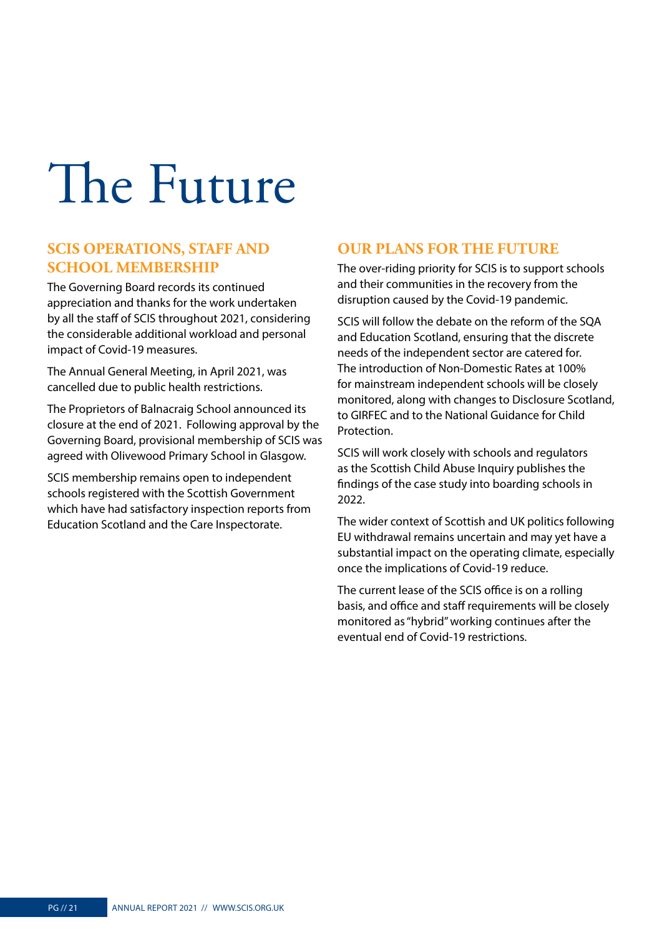# <span id="page-20-0"></span>The Future

#### **SCIS OPERATIONS, STAFF AND SCHOOL MEMBERSHIP**

The Governing Board records its continued appreciation and thanks for the work undertaken by all the staff of SCIS throughout 2021, considering the considerable additional workload and personal impact of Covid-19 measures.

The Annual General Meeting, in April 2021, was cancelled due to public health restrictions.

The Proprietors of Balnacraig School announced its closure at the end of 2021. Following approval by the Governing Board, provisional membership of SCIS was agreed with Olivewood Primary School in Glasgow.

SCIS membership remains open to independent schools registered with the Scottish Government which have had satisfactory inspection reports from Education Scotland and the Care Inspectorate.

#### **OUR PLANS FOR THE FUTURE**

The over-riding priority for SCIS is to support schools and their communities in the recovery from the disruption caused by the Covid-19 pandemic.

SCIS will follow the debate on the reform of the SQA and Education Scotland, ensuring that the discrete needs of the independent sector are catered for. The introduction of Non-Domestic Rates at 100% for mainstream independent schools will be closely monitored, along with changes to Disclosure Scotland, to GIRFEC and to the National Guidance for Child Protection.

SCIS will work closely with schools and regulators as the Scottish Child Abuse Inquiry publishes the findings of the case study into boarding schools in 2022.

The wider context of Scottish and UK politics following EU withdrawal remains uncertain and may yet have a substantial impact on the operating climate, especially once the implications of Covid-19 reduce.

The current lease of the SCIS office is on a rolling basis, and office and staff requirements will be closely monitored as "hybrid" working continues after the eventual end of Covid-19 restrictions.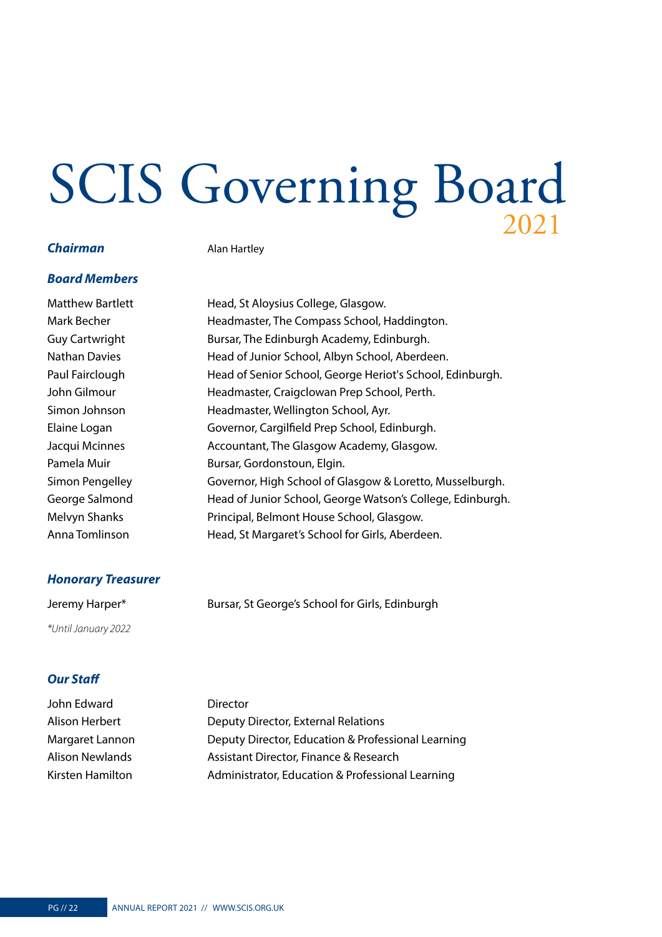# <span id="page-21-0"></span>SCIS Governing Board

#### **Chairman Alan Hartley**

#### *Board Members*

Matthew Bartlett Head, St Aloysius College, Glasgow. Mark Becher **Headmaster**, The Compass School, Haddington. Guy Cartwright **Bursar, The Edinburgh Academy, Edinburgh.** Nathan Davies **Head of Junior School, Albyn School, Aberdeen.** Paul Fairclough Head of Senior School, George Heriot's School, Edinburgh. John Gilmour Headmaster, Craigclowan Prep School, Perth. Simon Johnson Headmaster, Wellington School, Ayr. Elaine Logan Governor, Cargilfield Prep School, Edinburgh. Jacqui Mcinnes Accountant, The Glasgow Academy, Glasgow. Pamela Muir Bursar, Gordonstoun, Elgin. Simon Pengelley Governor, High School of Glasgow & Loretto, Musselburgh. George Salmond Head of Junior School, George Watson's College, Edinburgh. Melvyn Shanks Principal, Belmont House School, Glasgow. Anna Tomlinson Head, St Margaret's School for Girls, Aberdeen.

#### *Honorary Treasurer*

Jeremy Harper\* Bursar, St George's School for Girls, Edinburgh *\*Until January 2022*

#### *Our Staff*

| John Edward      | <b>Director</b>                                    |
|------------------|----------------------------------------------------|
| Alison Herbert   | Deputy Director, External Relations                |
| Margaret Lannon  | Deputy Director, Education & Professional Learning |
| Alison Newlands  | Assistant Director, Finance & Research             |
| Kirsten Hamilton | Administrator, Education & Professional Learning   |
|                  |                                                    |